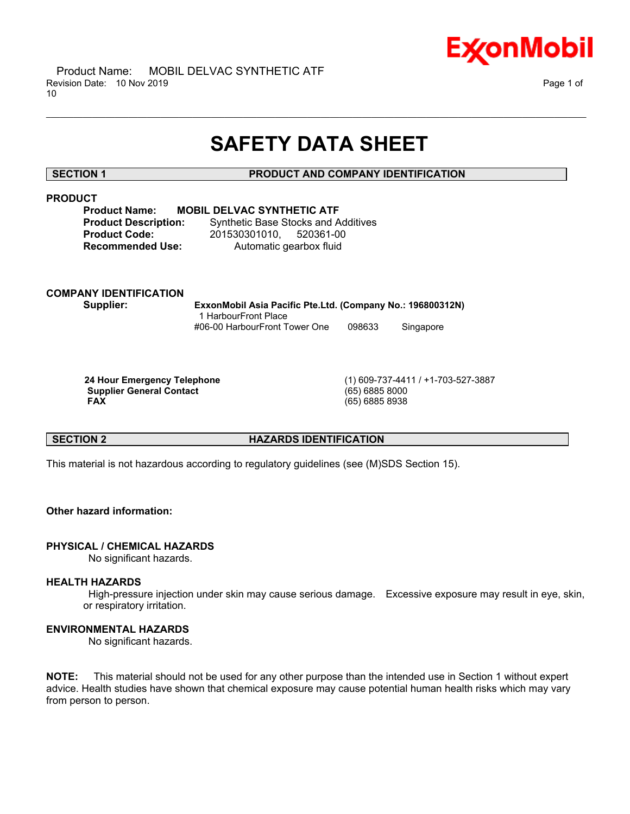

# **SAFETY DATA SHEET**

\_\_\_\_\_\_\_\_\_\_\_\_\_\_\_\_\_\_\_\_\_\_\_\_\_\_\_\_\_\_\_\_\_\_\_\_\_\_\_\_\_\_\_\_\_\_\_\_\_\_\_\_\_\_\_\_\_\_\_\_\_\_\_\_\_\_\_\_\_\_\_\_\_\_\_\_\_\_\_\_\_\_\_\_\_\_\_\_\_\_\_\_\_\_\_\_\_\_\_\_\_\_\_\_\_\_\_\_\_\_\_\_\_\_\_\_\_\_

# **SECTION 1 PRODUCT AND COMPANY IDENTIFICATION**

# **PRODUCT**

**Product Name: MOBIL DELVAC SYNTHETIC ATF**

**Product Description:** Synthetic Base Stocks and Additives **Product Code:** 201530301010, 520361-00 **Recommended Use:** Automatic gearbox fluid

# **COMPANY IDENTIFICATION**

**Supplier: ExxonMobil Asia Pacific Pte.Ltd. (Company No.: 196800312N)** 1 HarbourFront Place #06-00 HarbourFront Tower One 098633 Singapore

 **Supplier General Contact** (65) 6885 8000  **FAX** (65) 6885 8938

 **24 Hour Emergency Telephone** (1) 609-737-4411 / +1-703-527-3887

# **SECTION 2 HAZARDS IDENTIFICATION**

This material is not hazardous according to regulatory guidelines (see (M)SDS Section 15).

# **Other hazard information:**

### **PHYSICAL / CHEMICAL HAZARDS**

No significant hazards.

### **HEALTH HAZARDS**

 High-pressure injection under skin may cause serious damage. Excessive exposure may result in eye, skin, or respiratory irritation.

# **ENVIRONMENTAL HAZARDS**

No significant hazards.

**NOTE:** This material should not be used for any other purpose than the intended use in Section 1 without expert advice. Health studies have shown that chemical exposure may cause potential human health risks which may vary from person to person.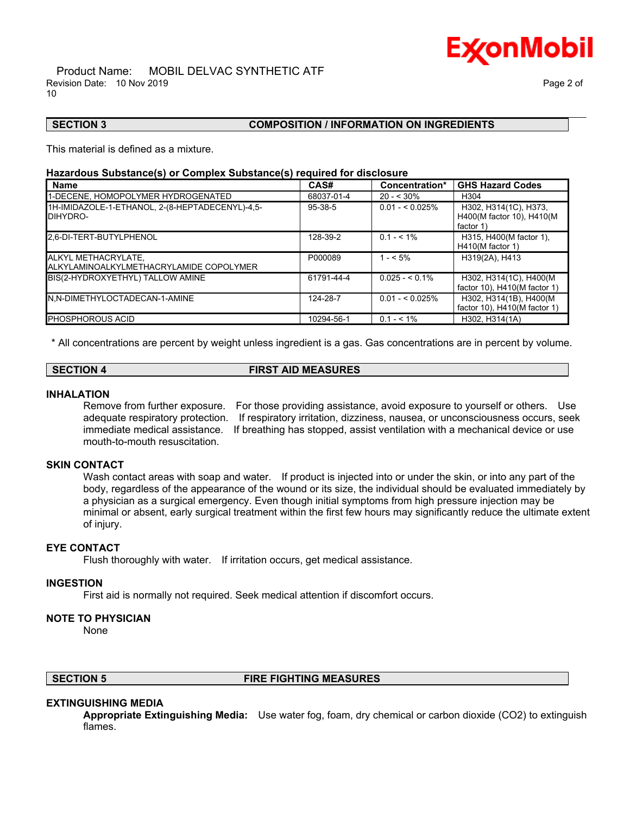# Ex⁄onMobil

#### Product Name: MOBIL DELVAC SYNTHETIC ATF Revision Date: 10 Nov 2019 **Page 2 of**  $\overline{P}$ 10

## **SECTION 3 COMPOSITION / INFORMATION ON INGREDIENTS**

This material is defined as a mixture.

#### **Hazardous Substance(s) or Complex Substance(s) required for disclosure**

| <b>Name</b>                                                    | CAS#          | Concentration*   | <b>GHS Hazard Codes</b>                                         |
|----------------------------------------------------------------|---------------|------------------|-----------------------------------------------------------------|
| 1-DECENE, HOMOPOLYMER HYDROGENATED                             | 68037-01-4    | $20 - 530\%$     | H <sub>304</sub>                                                |
| 1H-IMIDAZOLE-1-ETHANOL, 2-(8-HEPTADECENYL)-4,5-<br>DIHYDRO-    | $95 - 38 - 5$ | $0.01 - 5.025\%$ | H302, H314(1C), H373,<br>H400(M factor 10), H410(M<br>factor 1) |
| 2,6-DI-TERT-BUTYLPHENOL                                        | 128-39-2      | $0.1 - 5.1\%$    | H315, H400(M factor 1),<br>$H410(M$ factor 1)                   |
| ALKYL METHACRYLATE,<br>ALKYLAMINOALKYLMETHACRYLAMIDE COPOLYMER | P000089       | $1 - 5\%$        | H319(2A), H413                                                  |
| BIS(2-HYDROXYETHYL) TALLOW AMINE                               | 61791-44-4    | $0.025 - 5.1\%$  | H302, H314(1C), H400(M<br>factor 10), H410(M factor 1)          |
| N,N-DIMETHYLOCTADECAN-1-AMINE                                  | 124-28-7      | $0.01 - 5.025\%$ | H302, H314(1B), H400(M<br>factor 10), H410(M factor 1)          |
| <b>PHOSPHOROUS ACID</b>                                        | 10294-56-1    | $0.1 - 5.1\%$    | H302, H314(1A)                                                  |

\_\_\_\_\_\_\_\_\_\_\_\_\_\_\_\_\_\_\_\_\_\_\_\_\_\_\_\_\_\_\_\_\_\_\_\_\_\_\_\_\_\_\_\_\_\_\_\_\_\_\_\_\_\_\_\_\_\_\_\_\_\_\_\_\_\_\_\_\_\_\_\_\_\_\_\_\_\_\_\_\_\_\_\_\_\_\_\_\_\_\_\_\_\_\_\_\_\_\_\_\_\_\_\_\_\_\_\_\_\_\_\_\_\_\_\_\_\_

\* All concentrations are percent by weight unless ingredient is a gas. Gas concentrations are in percent by volume.

## **SECTION 4 FIRST AID MEASURES**

#### **INHALATION**

Remove from further exposure. For those providing assistance, avoid exposure to yourself or others. Use adequate respiratory protection. If respiratory irritation, dizziness, nausea, or unconsciousness occurs, seek immediate medical assistance. If breathing has stopped, assist ventilation with a mechanical device or use mouth-to-mouth resuscitation.

## **SKIN CONTACT**

Wash contact areas with soap and water. If product is injected into or under the skin, or into any part of the body, regardless of the appearance of the wound or its size, the individual should be evaluated immediately by a physician as a surgical emergency. Even though initial symptoms from high pressure injection may be minimal or absent, early surgical treatment within the first few hours may significantly reduce the ultimate extent of injury.

### **EYE CONTACT**

Flush thoroughly with water. If irritation occurs, get medical assistance.

#### **INGESTION**

First aid is normally not required. Seek medical attention if discomfort occurs.

### **NOTE TO PHYSICIAN**

None

# **SECTION 5 FIRE FIGHTING MEASURES**

### **EXTINGUISHING MEDIA**

**Appropriate Extinguishing Media:** Use water fog, foam, dry chemical or carbon dioxide (CO2) to extinguish flames.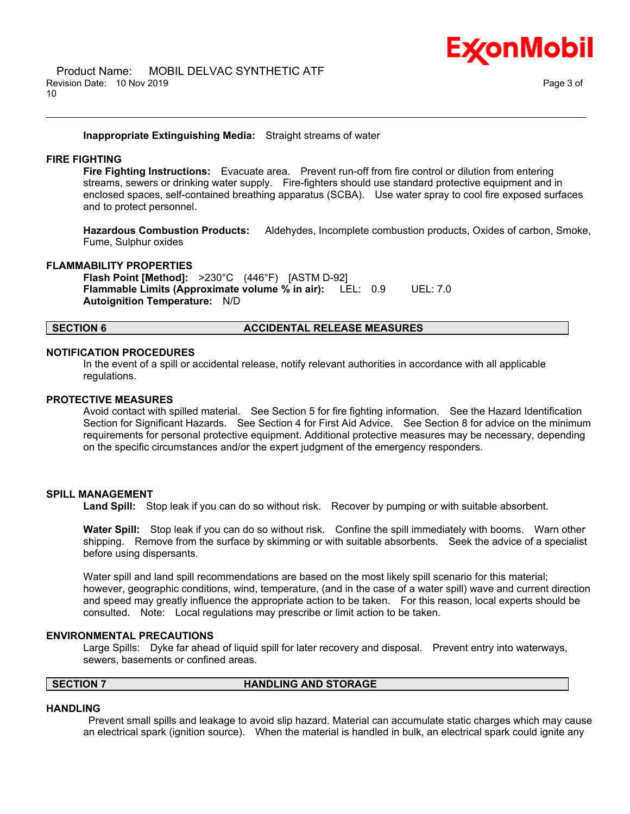

#### **Inappropriate Extinguishing Media:** Straight streams of water

### **FIRE FIGHTING**

**Fire Fighting Instructions:** Evacuate area. Prevent run-off from fire control or dilution from entering streams, sewers or drinking water supply. Fire-fighters should use standard protective equipment and in enclosed spaces, self-contained breathing apparatus (SCBA). Use water spray to cool fire exposed surfaces and to protect personnel.

\_\_\_\_\_\_\_\_\_\_\_\_\_\_\_\_\_\_\_\_\_\_\_\_\_\_\_\_\_\_\_\_\_\_\_\_\_\_\_\_\_\_\_\_\_\_\_\_\_\_\_\_\_\_\_\_\_\_\_\_\_\_\_\_\_\_\_\_\_\_\_\_\_\_\_\_\_\_\_\_\_\_\_\_\_\_\_\_\_\_\_\_\_\_\_\_\_\_\_\_\_\_\_\_\_\_\_\_\_\_\_\_\_\_\_\_\_\_

**Hazardous Combustion Products:** Aldehydes, Incomplete combustion products, Oxides of carbon, Smoke, Fume, Sulphur oxides

# **FLAMMABILITY PROPERTIES**

**Flash Point [Method]:** >230°C (446°F) [ASTM D-92] **Flammable Limits (Approximate volume % in air):** LEL: 0.9 UEL: 7.0 **Autoignition Temperature:** N/D

### **SECTION 6 ACCIDENTAL RELEASE MEASURES**

#### **NOTIFICATION PROCEDURES**

In the event of a spill or accidental release, notify relevant authorities in accordance with all applicable regulations.

#### **PROTECTIVE MEASURES**

Avoid contact with spilled material. See Section 5 for fire fighting information. See the Hazard Identification Section for Significant Hazards. See Section 4 for First Aid Advice. See Section 8 for advice on the minimum requirements for personal protective equipment. Additional protective measures may be necessary, depending on the specific circumstances and/or the expert judgment of the emergency responders.

#### **SPILL MANAGEMENT**

**Land Spill:** Stop leak if you can do so without risk. Recover by pumping or with suitable absorbent.

**Water Spill:** Stop leak if you can do so without risk. Confine the spill immediately with booms. Warn other shipping. Remove from the surface by skimming or with suitable absorbents. Seek the advice of a specialist before using dispersants.

Water spill and land spill recommendations are based on the most likely spill scenario for this material; however, geographic conditions, wind, temperature, (and in the case of a water spill) wave and current direction and speed may greatly influence the appropriate action to be taken. For this reason, local experts should be consulted. Note: Local regulations may prescribe or limit action to be taken.

#### **ENVIRONMENTAL PRECAUTIONS**

Large Spills: Dyke far ahead of liquid spill for later recovery and disposal. Prevent entry into waterways, sewers, basements or confined areas.

## **SECTION 7 HANDLING AND STORAGE**

#### **HANDLING**

 Prevent small spills and leakage to avoid slip hazard. Material can accumulate static charges which may cause an electrical spark (ignition source). When the material is handled in bulk, an electrical spark could ignite any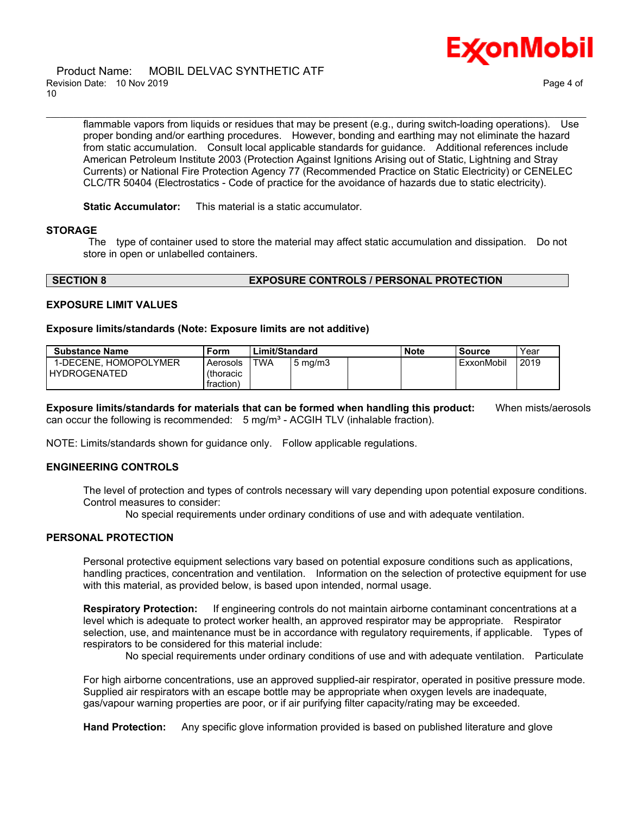

#### Product Name: MOBIL DELVAC SYNTHETIC ATF Revision Date: 10 Nov 2019 **Page 4 of**  $\overline{P}$ 10

flammable vapors from liquids or residues that may be present (e.g., during switch-loading operations). Use proper bonding and/or earthing procedures. However, bonding and earthing may not eliminate the hazard from static accumulation. Consult local applicable standards for guidance. Additional references include American Petroleum Institute 2003 (Protection Against Ignitions Arising out of Static, Lightning and Stray Currents) or National Fire Protection Agency 77 (Recommended Practice on Static Electricity) or CENELEC CLC/TR 50404 (Electrostatics - Code of practice for the avoidance of hazards due to static electricity).

\_\_\_\_\_\_\_\_\_\_\_\_\_\_\_\_\_\_\_\_\_\_\_\_\_\_\_\_\_\_\_\_\_\_\_\_\_\_\_\_\_\_\_\_\_\_\_\_\_\_\_\_\_\_\_\_\_\_\_\_\_\_\_\_\_\_\_\_\_\_\_\_\_\_\_\_\_\_\_\_\_\_\_\_\_\_\_\_\_\_\_\_\_\_\_\_\_\_\_\_\_\_\_\_\_\_\_\_\_\_\_\_\_\_\_\_\_\_

**Static Accumulator:** This material is a static accumulator.

#### **STORAGE**

 The type of container used to store the material may affect static accumulation and dissipation. Do not store in open or unlabelled containers.

#### **SECTION 8 EXPOSURE CONTROLS / PERSONAL PROTECTION**

### **EXPOSURE LIMIT VALUES**

#### **Exposure limits/standards (Note: Exposure limits are not additive)**

| <b>Substance Name</b> | Form              | Limit/Standard |                  | <b>Note</b> | <b>Source</b> | Year |
|-----------------------|-------------------|----------------|------------------|-------------|---------------|------|
| 1-DECENE. HOMOPOLYMER | Aerosols          | <b>TWA</b>     | $5 \text{ mg/m}$ |             | ExxonMobil    | 2019 |
| <b>HYDROGENATED</b>   | <i>(thoracic)</i> |                |                  |             |               |      |
|                       | fraction)         |                |                  |             |               |      |

**Exposure limits/standards for materials that can be formed when handling this product:** When mists/aerosols can occur the following is recommended:  $5 \text{ mg/m}^3$  - ACGIH TLV (inhalable fraction).

NOTE: Limits/standards shown for guidance only. Follow applicable regulations.

### **ENGINEERING CONTROLS**

The level of protection and types of controls necessary will vary depending upon potential exposure conditions. Control measures to consider:

No special requirements under ordinary conditions of use and with adequate ventilation.

# **PERSONAL PROTECTION**

Personal protective equipment selections vary based on potential exposure conditions such as applications, handling practices, concentration and ventilation. Information on the selection of protective equipment for use with this material, as provided below, is based upon intended, normal usage.

**Respiratory Protection:** If engineering controls do not maintain airborne contaminant concentrations at a level which is adequate to protect worker health, an approved respirator may be appropriate. Respirator selection, use, and maintenance must be in accordance with regulatory requirements, if applicable. Types of respirators to be considered for this material include:

No special requirements under ordinary conditions of use and with adequate ventilation. Particulate

For high airborne concentrations, use an approved supplied-air respirator, operated in positive pressure mode. Supplied air respirators with an escape bottle may be appropriate when oxygen levels are inadequate, gas/vapour warning properties are poor, or if air purifying filter capacity/rating may be exceeded.

**Hand Protection:** Any specific glove information provided is based on published literature and glove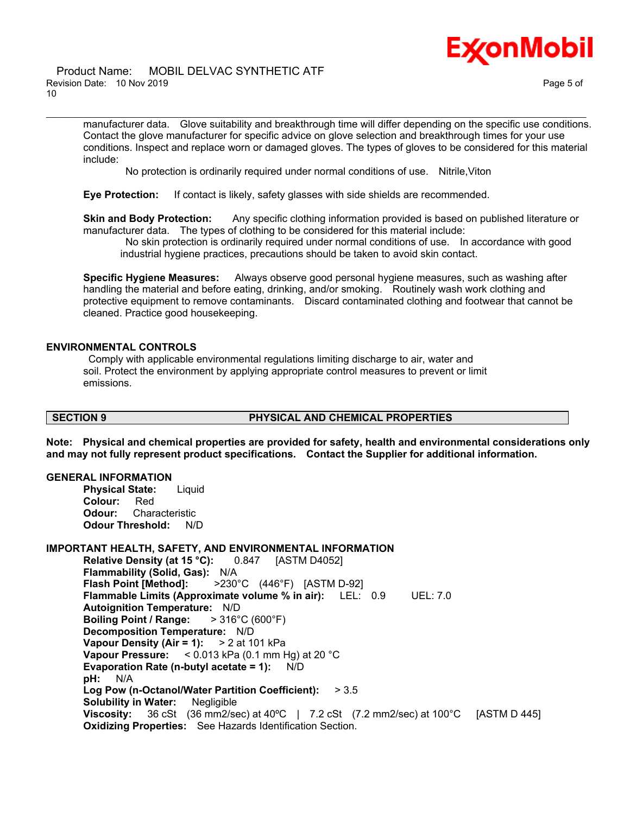

#### Product Name: MOBIL DELVAC SYNTHETIC ATF Revision Date: 10 Nov 2019 Page 5 of 10

manufacturer data. Glove suitability and breakthrough time will differ depending on the specific use conditions. Contact the glove manufacturer for specific advice on glove selection and breakthrough times for your use conditions. Inspect and replace worn or damaged gloves. The types of gloves to be considered for this material include:

No protection is ordinarily required under normal conditions of use. Nitrile,Viton

\_\_\_\_\_\_\_\_\_\_\_\_\_\_\_\_\_\_\_\_\_\_\_\_\_\_\_\_\_\_\_\_\_\_\_\_\_\_\_\_\_\_\_\_\_\_\_\_\_\_\_\_\_\_\_\_\_\_\_\_\_\_\_\_\_\_\_\_\_\_\_\_\_\_\_\_\_\_\_\_\_\_\_\_\_\_\_\_\_\_\_\_\_\_\_\_\_\_\_\_\_\_\_\_\_\_\_\_\_\_\_\_\_\_\_\_\_\_

**Eye Protection:** If contact is likely, safety glasses with side shields are recommended.

**Skin and Body Protection:** Any specific clothing information provided is based on published literature or manufacturer data. The types of clothing to be considered for this material include:

 No skin protection is ordinarily required under normal conditions of use. In accordance with good industrial hygiene practices, precautions should be taken to avoid skin contact.

**Specific Hygiene Measures:** Always observe good personal hygiene measures, such as washing after handling the material and before eating, drinking, and/or smoking. Routinely wash work clothing and protective equipment to remove contaminants. Discard contaminated clothing and footwear that cannot be cleaned. Practice good housekeeping.

## **ENVIRONMENTAL CONTROLS**

 Comply with applicable environmental regulations limiting discharge to air, water and soil. Protect the environment by applying appropriate control measures to prevent or limit emissions.

## **SECTION 9 PHYSICAL AND CHEMICAL PROPERTIES**

**Note: Physical and chemical properties are provided for safety, health and environmental considerations only and may not fully represent product specifications. Contact the Supplier for additional information.**

#### **GENERAL INFORMATION**

**Physical State:** Liquid **Colour:** Red **Odour:** Characteristic **Odour Threshold:** N/D

#### **IMPORTANT HEALTH, SAFETY, AND ENVIRONMENTAL INFORMATION**

**Relative Density (at 15 °C):** 0.847 [ASTM D4052] **Flammability (Solid, Gas):** N/A **Flash Point [Method]:** >230°C (446°F) [ASTM D-92] **Flammable Limits (Approximate volume % in air):** LEL: 0.9 UEL: 7.0 **Autoignition Temperature:** N/D **Boiling Point / Range:** > 316°C (600°F) **Decomposition Temperature:** N/D **Vapour Density (Air = 1):** > 2 at 101 kPa **Vapour Pressure:** < 0.013 kPa (0.1 mm Hg) at 20 °C **Evaporation Rate (n-butyl acetate = 1):** N/D **pH:** N/A **Log Pow (n-Octanol/Water Partition Coefficient):** > 3.5 **Solubility in Water:** Negligible **Viscosity:** 36 cSt (36 mm2/sec) at 40ºC | 7.2 cSt (7.2 mm2/sec) at 100°C [ASTM D 445] **Oxidizing Properties:** See Hazards Identification Section.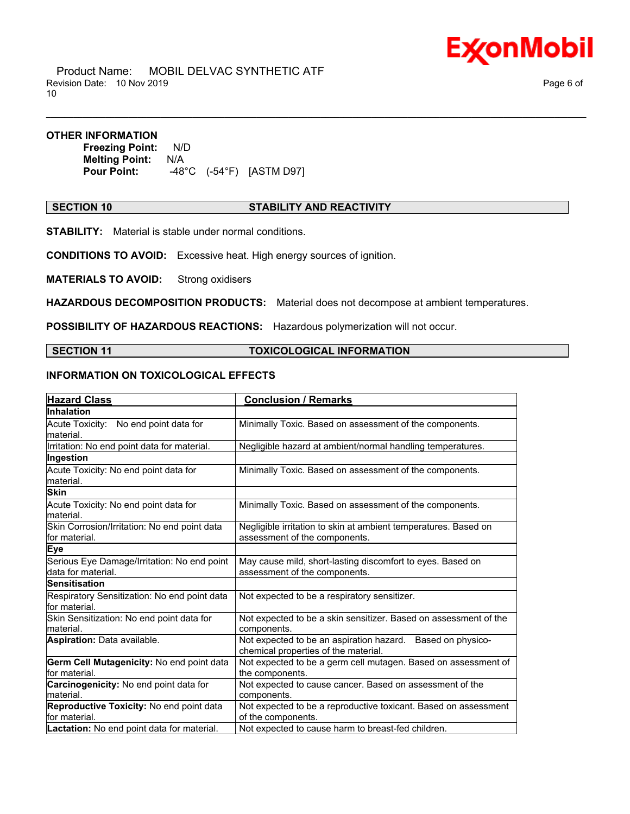

 Product Name: MOBIL DELVAC SYNTHETIC ATF Revision Date: 10 Nov 2019 **Page 6 of**  $\overline{P}$ 10

#### **OTHER INFORMATION**

**Freezing Point:** N/D **Melting Point:** N/A **Pour Point:** -48°C (-54°F) [ASTM D97]

#### **SECTION 10 STABILITY AND REACTIVITY**

\_\_\_\_\_\_\_\_\_\_\_\_\_\_\_\_\_\_\_\_\_\_\_\_\_\_\_\_\_\_\_\_\_\_\_\_\_\_\_\_\_\_\_\_\_\_\_\_\_\_\_\_\_\_\_\_\_\_\_\_\_\_\_\_\_\_\_\_\_\_\_\_\_\_\_\_\_\_\_\_\_\_\_\_\_\_\_\_\_\_\_\_\_\_\_\_\_\_\_\_\_\_\_\_\_\_\_\_\_\_\_\_\_\_\_\_\_\_

**STABILITY:** Material is stable under normal conditions.

**CONDITIONS TO AVOID:** Excessive heat. High energy sources of ignition.

**MATERIALS TO AVOID:** Strong oxidisers

**HAZARDOUS DECOMPOSITION PRODUCTS:** Material does not decompose at ambient temperatures.

**POSSIBILITY OF HAZARDOUS REACTIONS:** Hazardous polymerization will not occur.

**SECTION 11 TOXICOLOGICAL INFORMATION**

# **INFORMATION ON TOXICOLOGICAL EFFECTS**

| <b>Hazard Class</b>                                               | <b>Conclusion / Remarks</b>                                                                        |
|-------------------------------------------------------------------|----------------------------------------------------------------------------------------------------|
| Inhalation                                                        |                                                                                                    |
| Acute Toxicity: No end point data for<br>lmaterial.               | Minimally Toxic. Based on assessment of the components.                                            |
| Irritation: No end point data for material.                       | Negligible hazard at ambient/normal handling temperatures.                                         |
| Ingestion                                                         |                                                                                                    |
| Acute Toxicity: No end point data for<br>lmaterial.               | Minimally Toxic. Based on assessment of the components.                                            |
| <b>Skin</b>                                                       |                                                                                                    |
| Acute Toxicity: No end point data for<br>lmaterial.               | Minimally Toxic. Based on assessment of the components.                                            |
| Skin Corrosion/Irritation: No end point data<br>lfor material.    | Negligible irritation to skin at ambient temperatures. Based on<br>assessment of the components.   |
| Eye                                                               |                                                                                                    |
| Serious Eye Damage/Irritation: No end point<br>data for material. | May cause mild, short-lasting discomfort to eyes. Based on<br>assessment of the components.        |
| <b>Sensitisation</b>                                              |                                                                                                    |
| Respiratory Sensitization: No end point data<br>lfor material.    | Not expected to be a respiratory sensitizer.                                                       |
| Skin Sensitization: No end point data for<br>material.            | Not expected to be a skin sensitizer. Based on assessment of the<br>components.                    |
| Aspiration: Data available.                                       | Not expected to be an aspiration hazard. Based on physico-<br>chemical properties of the material. |
| Germ Cell Mutagenicity: No end point data<br>lfor material.       | Not expected to be a germ cell mutagen. Based on assessment of<br>the components.                  |
| Carcinogenicity: No end point data for<br>lmaterial.              | Not expected to cause cancer. Based on assessment of the<br>components.                            |
| Reproductive Toxicity: No end point data<br>lfor material.        | Not expected to be a reproductive toxicant. Based on assessment<br>of the components.              |
| Lactation: No end point data for material.                        | Not expected to cause harm to breast-fed children.                                                 |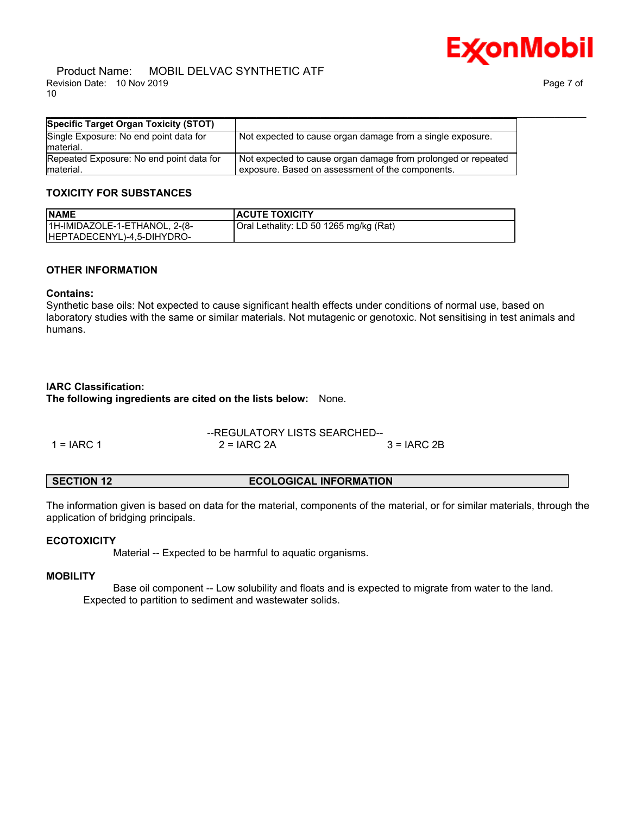

#### Product Name: MOBIL DELVAC SYNTHETIC ATF Revision Date: 10 Nov 2019 Page 7 of 10

| Specific Target Organ Toxicity (STOT)                  |                                                                                                                   |
|--------------------------------------------------------|-------------------------------------------------------------------------------------------------------------------|
| Single Exposure: No end point data for<br>Imaterial.   | Not expected to cause organ damage from a single exposure.                                                        |
| Repeated Exposure: No end point data for<br>Imaterial. | Not expected to cause organ damage from prolonged or repeated<br>exposure. Based on assessment of the components. |

# **TOXICITY FOR SUBSTANCES**

| <b>NAME</b>                   | <b>ACUTE TOXICITY</b>                  |
|-------------------------------|----------------------------------------|
| 1H-IMIDAZOLE-1-ETHANOL, 2-(8- | Oral Lethality: LD 50 1265 mg/kg (Rat) |
| HEPTADECENYL)-4,5-DIHYDRO-    |                                        |

#### **OTHER INFORMATION**

# **Contains:**

Synthetic base oils: Not expected to cause significant health effects under conditions of normal use, based on laboratory studies with the same or similar materials. Not mutagenic or genotoxic. Not sensitising in test animals and humans.

### **IARC Classification:**

**The following ingredients are cited on the lists below:** None.

|            | --REGULATORY LISTS SEARCHED-- |              |  |
|------------|-------------------------------|--------------|--|
| 1 = IARC 1 | $2 = IARC 2A$                 | $3 = IARC2B$ |  |

#### **SECTION 12 ECOLOGICAL INFORMATION**

The information given is based on data for the material, components of the material, or for similar materials, through the application of bridging principals.

### **ECOTOXICITY**

Material -- Expected to be harmful to aquatic organisms.

### **MOBILITY**

 Base oil component -- Low solubility and floats and is expected to migrate from water to the land. Expected to partition to sediment and wastewater solids.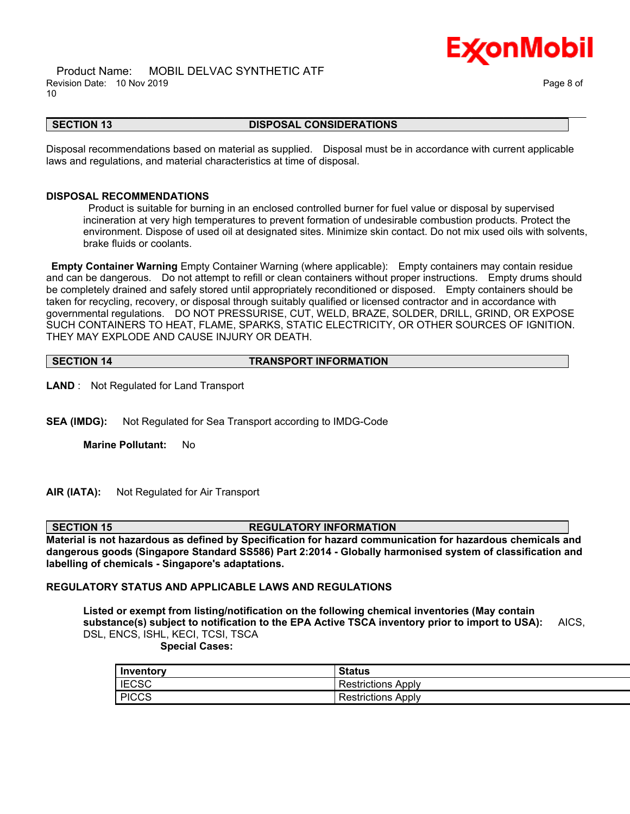



#### **SECTION 13 DISPOSAL CONSIDERATIONS**

\_\_\_\_\_\_\_\_\_\_\_\_\_\_\_\_\_\_\_\_\_\_\_\_\_\_\_\_\_\_\_\_\_\_\_\_\_\_\_\_\_\_\_\_\_\_\_\_\_\_\_\_\_\_\_\_\_\_\_\_\_\_\_\_\_\_\_\_\_\_\_\_\_\_\_\_\_\_\_\_\_\_\_\_\_\_\_\_\_\_\_\_\_\_\_\_\_\_\_\_\_\_\_\_\_\_\_\_\_\_\_\_\_\_\_\_\_\_

Disposal recommendations based on material as supplied. Disposal must be in accordance with current applicable laws and regulations, and material characteristics at time of disposal.

#### **DISPOSAL RECOMMENDATIONS**

 Product is suitable for burning in an enclosed controlled burner for fuel value or disposal by supervised incineration at very high temperatures to prevent formation of undesirable combustion products. Protect the environment. Dispose of used oil at designated sites. Minimize skin contact. Do not mix used oils with solvents, brake fluids or coolants.

**Empty Container Warning** Empty Container Warning (where applicable): Empty containers may contain residue and can be dangerous. Do not attempt to refill or clean containers without proper instructions. Empty drums should be completely drained and safely stored until appropriately reconditioned or disposed. Empty containers should be taken for recycling, recovery, or disposal through suitably qualified or licensed contractor and in accordance with governmental regulations. DO NOT PRESSURISE, CUT, WELD, BRAZE, SOLDER, DRILL, GRIND, OR EXPOSE SUCH CONTAINERS TO HEAT, FLAME, SPARKS, STATIC ELECTRICITY, OR OTHER SOURCES OF IGNITION. THEY MAY EXPLODE AND CAUSE INJURY OR DEATH.

**SECTION 14 TRANSPORT INFORMATION** 

**LAND** : Not Regulated for Land Transport

**SEA (IMDG):** Not Regulated for Sea Transport according to IMDG-Code

**Marine Pollutant:** No

**AIR (IATA):** Not Regulated for Air Transport

#### **SECTION 15 REGULATORY INFORMATION**

**Material is not hazardous as defined by Specification for hazard communication for hazardous chemicals and dangerous goods (Singapore Standard SS586) Part 2:2014 - Globally harmonised system of classification and labelling of chemicals - Singapore's adaptations.**

#### **REGULATORY STATUS AND APPLICABLE LAWS AND REGULATIONS**

**Listed or exempt from listing/notification on the following chemical inventories (May contain substance(s) subject to notification to the EPA Active TSCA inventory prior to import to USA):** AICS, DSL, ENCS, ISHL, KECI, TCSI, TSCA  **Special Cases:**

| Inventory    | <b>Status</b>      |
|--------------|--------------------|
| <b>IECSC</b> | Restrictions Apply |
| <b>PICCS</b> | Restrictions Apply |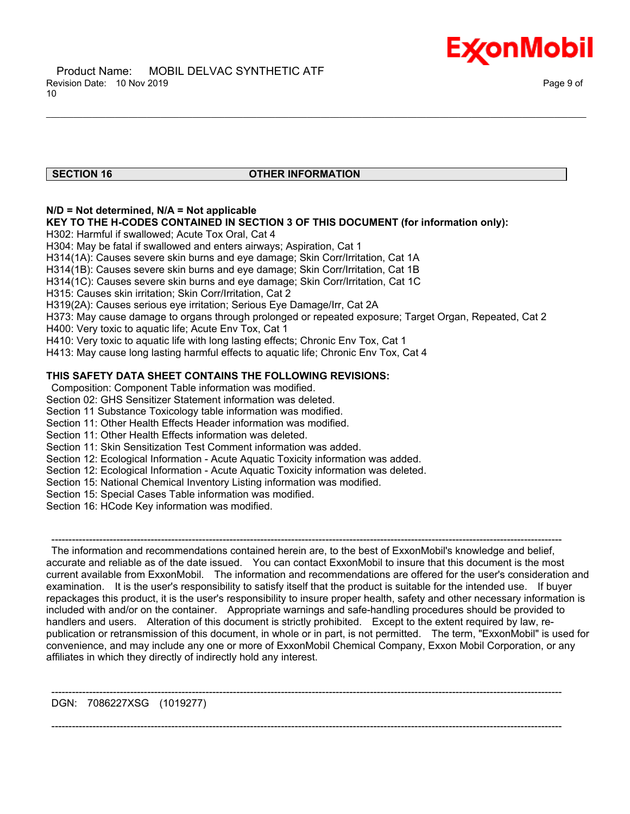

### **SECTION 16 OTHER INFORMATION**

\_\_\_\_\_\_\_\_\_\_\_\_\_\_\_\_\_\_\_\_\_\_\_\_\_\_\_\_\_\_\_\_\_\_\_\_\_\_\_\_\_\_\_\_\_\_\_\_\_\_\_\_\_\_\_\_\_\_\_\_\_\_\_\_\_\_\_\_\_\_\_\_\_\_\_\_\_\_\_\_\_\_\_\_\_\_\_\_\_\_\_\_\_\_\_\_\_\_\_\_\_\_\_\_\_\_\_\_\_\_\_\_\_\_\_\_\_\_

# **N/D = Not determined, N/A = Not applicable**

#### **KEY TO THE H-CODES CONTAINED IN SECTION 3 OF THIS DOCUMENT (for information only):**

H302: Harmful if swallowed; Acute Tox Oral, Cat 4

H304: May be fatal if swallowed and enters airways; Aspiration, Cat 1

H314(1A): Causes severe skin burns and eye damage; Skin Corr/Irritation, Cat 1A

H314(1B): Causes severe skin burns and eye damage; Skin Corr/Irritation, Cat 1B

H314(1C): Causes severe skin burns and eye damage; Skin Corr/Irritation, Cat 1C

H315: Causes skin irritation; Skin Corr/Irritation, Cat 2

H319(2A): Causes serious eye irritation; Serious Eye Damage/Irr, Cat 2A

H373: May cause damage to organs through prolonged or repeated exposure; Target Organ, Repeated, Cat 2

H400: Very toxic to aquatic life; Acute Env Tox, Cat 1

H410: Very toxic to aquatic life with long lasting effects; Chronic Env Tox, Cat 1

H413: May cause long lasting harmful effects to aquatic life; Chronic Env Tox, Cat 4

# **THIS SAFETY DATA SHEET CONTAINS THE FOLLOWING REVISIONS:**

Composition: Component Table information was modified.

Section 02: GHS Sensitizer Statement information was deleted.

Section 11 Substance Toxicology table information was modified.

- Section 11: Other Health Effects Header information was modified.
- Section 11: Other Health Effects information was deleted.

Section 11: Skin Sensitization Test Comment information was added.

Section 12: Ecological Information - Acute Aquatic Toxicity information was added.

Section 12: Ecological Information - Acute Aquatic Toxicity information was deleted.

Section 15: National Chemical Inventory Listing information was modified.

Section 15: Special Cases Table information was modified.

Section 16: HCode Key information was modified.

 ----------------------------------------------------------------------------------------------------------------------------------------------------- The information and recommendations contained herein are, to the best of ExxonMobil's knowledge and belief, accurate and reliable as of the date issued. You can contact ExxonMobil to insure that this document is the most current available from ExxonMobil. The information and recommendations are offered for the user's consideration and examination. It is the user's responsibility to satisfy itself that the product is suitable for the intended use. If buyer repackages this product, it is the user's responsibility to insure proper health, safety and other necessary information is included with and/or on the container. Appropriate warnings and safe-handling procedures should be provided to handlers and users. Alteration of this document is strictly prohibited. Except to the extent required by law, republication or retransmission of this document, in whole or in part, is not permitted. The term, "ExxonMobil" is used for convenience, and may include any one or more of ExxonMobil Chemical Company, Exxon Mobil Corporation, or any affiliates in which they directly of indirectly hold any interest.

-----------------------------------------------------------------------------------------------------------------------------------------------------

-----------------------------------------------------------------------------------------------------------------------------------------------------

DGN: 7086227XSG (1019277)